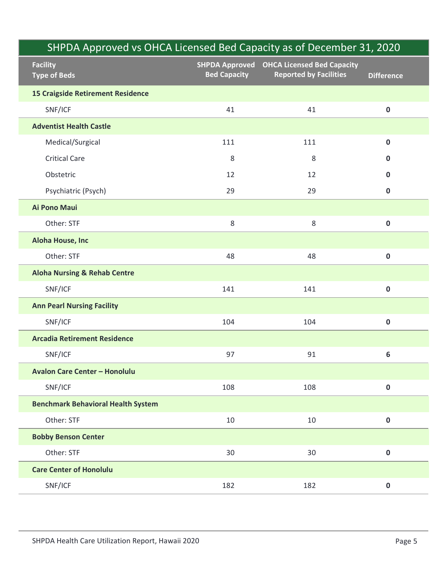| SHPDA Approved vs OHCA Licensed Bed Capacity as of December 31, 2020 |                     |                                                                            |                   |
|----------------------------------------------------------------------|---------------------|----------------------------------------------------------------------------|-------------------|
| <b>Facility</b><br><b>Type of Beds</b>                               | <b>Bed Capacity</b> | SHPDA Approved OHCA Licensed Bed Capacity<br><b>Reported by Facilities</b> | <b>Difference</b> |
| <b>15 Craigside Retirement Residence</b>                             |                     |                                                                            |                   |
| SNF/ICF                                                              | 41                  | 41                                                                         | $\mathbf 0$       |
| <b>Adventist Health Castle</b>                                       |                     |                                                                            |                   |
| Medical/Surgical                                                     | 111                 | 111                                                                        | $\mathbf 0$       |
| <b>Critical Care</b>                                                 | 8                   | 8                                                                          | $\mathbf 0$       |
| Obstetric                                                            | 12                  | 12                                                                         | $\mathbf 0$       |
| Psychiatric (Psych)                                                  | 29                  | 29                                                                         | $\mathbf 0$       |
| Ai Pono Maui                                                         |                     |                                                                            |                   |
| Other: STF                                                           | 8                   | $\,8\,$                                                                    | $\mathbf 0$       |
| Aloha House, Inc                                                     |                     |                                                                            |                   |
| Other: STF                                                           | 48                  | 48                                                                         | $\bf{0}$          |
| <b>Aloha Nursing &amp; Rehab Centre</b>                              |                     |                                                                            |                   |
| SNF/ICF                                                              | 141                 | 141                                                                        | $\pmb{0}$         |
| <b>Ann Pearl Nursing Facility</b>                                    |                     |                                                                            |                   |
| SNF/ICF                                                              | 104                 | 104                                                                        | $\pmb{0}$         |
| <b>Arcadia Retirement Residence</b>                                  |                     |                                                                            |                   |
| SNF/ICF                                                              | 97                  | 91                                                                         | $\boldsymbol{6}$  |
| <b>Avalon Care Center - Honolulu</b>                                 |                     |                                                                            |                   |
| SNF/ICF                                                              | 108                 | 108                                                                        | $\pmb{0}$         |
| <b>Benchmark Behavioral Health System</b>                            |                     |                                                                            |                   |
| Other: STF                                                           | 10                  | 10                                                                         | $\pmb{0}$         |
| <b>Bobby Benson Center</b>                                           |                     |                                                                            |                   |
| Other: STF                                                           | 30                  | 30                                                                         | $\pmb{0}$         |
| <b>Care Center of Honolulu</b>                                       |                     |                                                                            |                   |
| SNF/ICF                                                              | 182                 | 182                                                                        | $\mathbf 0$       |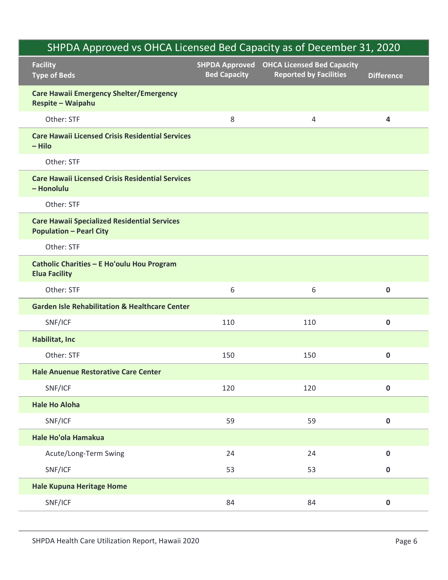| SHPDA Approved vs OHCA Licensed Bed Capacity as of December 31, 2020                  |                     |                                                                                   |                   |
|---------------------------------------------------------------------------------------|---------------------|-----------------------------------------------------------------------------------|-------------------|
| <b>Facility</b><br><b>Type of Beds</b>                                                | <b>Bed Capacity</b> | <b>SHPDA Approved</b> OHCA Licensed Bed Capacity<br><b>Reported by Facilities</b> | <b>Difference</b> |
| <b>Care Hawaii Emergency Shelter/Emergency</b><br>Respite - Waipahu                   |                     |                                                                                   |                   |
| Other: STF                                                                            | 8                   | 4                                                                                 | 4                 |
| <b>Care Hawaii Licensed Crisis Residential Services</b><br>- Hilo                     |                     |                                                                                   |                   |
| Other: STF                                                                            |                     |                                                                                   |                   |
| <b>Care Hawaii Licensed Crisis Residential Services</b><br>- Honolulu                 |                     |                                                                                   |                   |
| Other: STF                                                                            |                     |                                                                                   |                   |
| <b>Care Hawaii Specialized Residential Services</b><br><b>Population - Pearl City</b> |                     |                                                                                   |                   |
| Other: STF                                                                            |                     |                                                                                   |                   |
| Catholic Charities - E Ho'oulu Hou Program<br><b>Elua Facility</b>                    |                     |                                                                                   |                   |
| Other: STF                                                                            | 6                   | 6                                                                                 | $\mathbf 0$       |
| <b>Garden Isle Rehabilitation &amp; Healthcare Center</b>                             |                     |                                                                                   |                   |
| SNF/ICF                                                                               | 110                 | 110                                                                               | $\mathbf 0$       |
| Habilitat, Inc                                                                        |                     |                                                                                   |                   |
| Other: STF                                                                            | 150                 | 150                                                                               | $\pmb{0}$         |
| <b>Hale Anuenue Restorative Care Center</b>                                           |                     |                                                                                   |                   |
| SNF/ICF                                                                               | 120                 | 120                                                                               | $\pmb{0}$         |
| <b>Hale Ho Aloha</b>                                                                  |                     |                                                                                   |                   |
| SNF/ICF                                                                               | 59                  | 59                                                                                | $\pmb{0}$         |
| Hale Ho'ola Hamakua                                                                   |                     |                                                                                   |                   |
| Acute/Long-Term Swing                                                                 | 24                  | 24                                                                                | $\mathbf 0$       |
| SNF/ICF                                                                               | 53                  | 53                                                                                | $\mathbf 0$       |
| <b>Hale Kupuna Heritage Home</b>                                                      |                     |                                                                                   |                   |
| SNF/ICF                                                                               | 84                  | 84                                                                                | $\pmb{0}$         |
| SHPDA Health Care Utilization Report, Hawaii 2020                                     |                     |                                                                                   | Page 6            |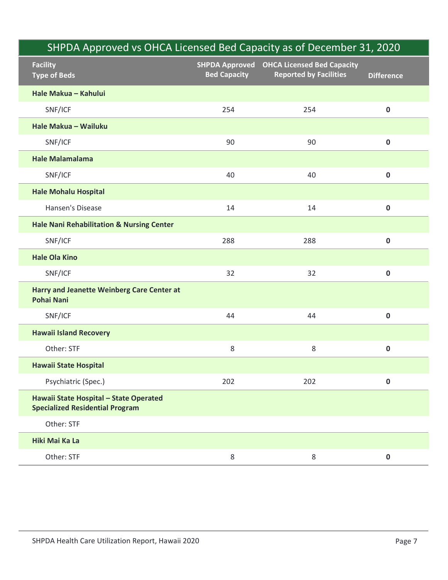| SHPDA Approved vs OHCA Licensed Bed Capacity as of December 31, 2020             |                                              |                                                                    |                   |
|----------------------------------------------------------------------------------|----------------------------------------------|--------------------------------------------------------------------|-------------------|
| <b>Facility</b><br><b>Type of Beds</b>                                           | <b>SHPDA Approved</b><br><b>Bed Capacity</b> | <b>OHCA Licensed Bed Capacity</b><br><b>Reported by Facilities</b> | <b>Difference</b> |
| Hale Makua - Kahului                                                             |                                              |                                                                    |                   |
| SNF/ICF                                                                          | 254                                          | 254                                                                | $\pmb{0}$         |
| Hale Makua - Wailuku                                                             |                                              |                                                                    |                   |
| SNF/ICF                                                                          | 90                                           | 90                                                                 | $\mathbf 0$       |
| <b>Hale Malamalama</b>                                                           |                                              |                                                                    |                   |
| SNF/ICF                                                                          | 40                                           | 40                                                                 | $\pmb{0}$         |
| <b>Hale Mohalu Hospital</b>                                                      |                                              |                                                                    |                   |
| Hansen's Disease                                                                 | 14                                           | 14                                                                 | $\mathbf 0$       |
| <b>Hale Nani Rehabilitation &amp; Nursing Center</b>                             |                                              |                                                                    |                   |
| SNF/ICF                                                                          | 288                                          | 288                                                                | $\pmb{0}$         |
| <b>Hale Ola Kino</b>                                                             |                                              |                                                                    |                   |
| SNF/ICF                                                                          | 32                                           | 32                                                                 | $\pmb{0}$         |
| Harry and Jeanette Weinberg Care Center at<br><b>Pohai Nani</b>                  |                                              |                                                                    |                   |
| SNF/ICF                                                                          | 44                                           | 44                                                                 | $\pmb{0}$         |
| <b>Hawaii Island Recovery</b>                                                    |                                              |                                                                    |                   |
| Other: STF                                                                       | $\,8\,$                                      | $\,8\,$                                                            | $\pmb{0}$         |
| <b>Hawaii State Hospital</b>                                                     |                                              |                                                                    |                   |
| Psychiatric (Spec.)                                                              | 202                                          | 202                                                                | $\pmb{0}$         |
| Hawaii State Hospital - State Operated<br><b>Specialized Residential Program</b> |                                              |                                                                    |                   |
| Other: STF                                                                       |                                              |                                                                    |                   |
| Hiki Mai Ka La                                                                   |                                              |                                                                    |                   |
| Other: STF                                                                       | $\,8\,$                                      | $\,8\,$                                                            | $\mathbf 0$       |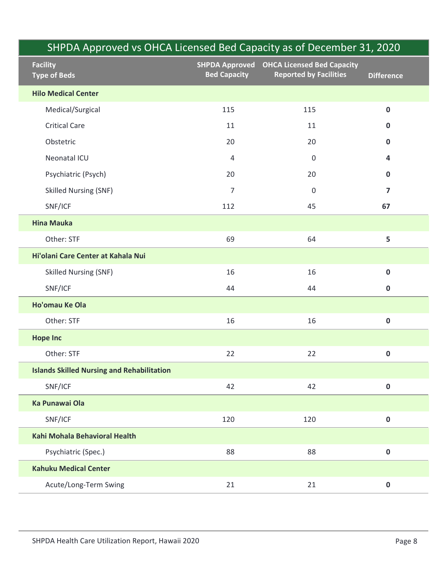|                                                   |                     | SHPDA Approved vs OHCA Licensed Bed Capacity as of December 31, 2020       |                         |
|---------------------------------------------------|---------------------|----------------------------------------------------------------------------|-------------------------|
| <b>Facility</b><br><b>Type of Beds</b>            | <b>Bed Capacity</b> | SHPDA Approved OHCA Licensed Bed Capacity<br><b>Reported by Facilities</b> | <b>Difference</b>       |
| <b>Hilo Medical Center</b>                        |                     |                                                                            |                         |
| Medical/Surgical                                  | 115                 | 115                                                                        | $\mathbf 0$             |
| <b>Critical Care</b>                              | 11                  | 11                                                                         | $\mathbf 0$             |
| Obstetric                                         | 20                  | 20                                                                         | 0                       |
| Neonatal ICU                                      | 4                   | $\mathsf{O}\xspace$                                                        | 4                       |
| Psychiatric (Psych)                               | 20                  | 20                                                                         | $\mathbf 0$             |
| <b>Skilled Nursing (SNF)</b>                      | $\overline{7}$      | $\mathbf 0$                                                                | $\overline{\mathbf{z}}$ |
| SNF/ICF                                           | 112                 | 45                                                                         | 67                      |
| <b>Hina Mauka</b>                                 |                     |                                                                            |                         |
| Other: STF                                        | 69                  | 64                                                                         | 5                       |
| Hi'olani Care Center at Kahala Nui                |                     |                                                                            |                         |
| <b>Skilled Nursing (SNF)</b>                      | 16                  | 16                                                                         | $\pmb{0}$               |
| SNF/ICF                                           | 44                  | 44                                                                         | $\mathbf 0$             |
| Ho'omau Ke Ola                                    |                     |                                                                            |                         |
| Other: STF                                        | 16                  | 16                                                                         | $\mathbf 0$             |
| <b>Hope Inc</b>                                   |                     |                                                                            |                         |
| Other: STF                                        | 22                  | 22                                                                         | $\mathbf 0$             |
| <b>Islands Skilled Nursing and Rehabilitation</b> |                     |                                                                            |                         |
| SNF/ICF                                           | 42                  | 42                                                                         | $\mathbf 0$             |
| Ka Punawai Ola                                    |                     |                                                                            |                         |
| SNF/ICF                                           | 120                 | 120                                                                        | $\mathbf 0$             |
| Kahi Mohala Behavioral Health                     |                     |                                                                            |                         |
| Psychiatric (Spec.)                               | 88                  | 88                                                                         | $\mathbf 0$             |
| <b>Kahuku Medical Center</b>                      |                     |                                                                            |                         |
| Acute/Long-Term Swing                             | 21                  | 21                                                                         | $\mathbf 0$             |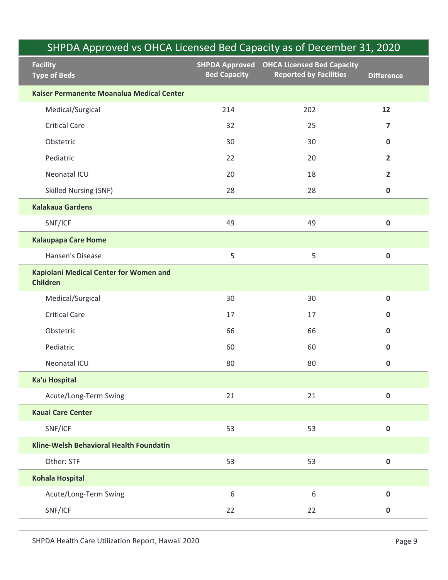| SHPDA Approved vs OHCA Licensed Bed Capacity as of December 31, 2020 |                                              |                                                                    |                         |  |
|----------------------------------------------------------------------|----------------------------------------------|--------------------------------------------------------------------|-------------------------|--|
| <b>Facility</b><br><b>Type of Beds</b>                               | <b>SHPDA Approved</b><br><b>Bed Capacity</b> | <b>OHCA Licensed Bed Capacity</b><br><b>Reported by Facilities</b> | <b>Difference</b>       |  |
| Kaiser Permanente Moanalua Medical Center                            |                                              |                                                                    |                         |  |
| Medical/Surgical                                                     | 214                                          | 202                                                                | 12                      |  |
| <b>Critical Care</b>                                                 | 32                                           | 25                                                                 | $\overline{\mathbf{z}}$ |  |
| Obstetric                                                            | 30                                           | 30                                                                 | $\mathbf 0$             |  |
| Pediatric                                                            | 22                                           | 20                                                                 | $\overline{2}$          |  |
| Neonatal ICU                                                         | 20                                           | 18                                                                 | $\overline{2}$          |  |
| <b>Skilled Nursing (SNF)</b>                                         | 28                                           | 28                                                                 | $\mathbf 0$             |  |
| <b>Kalakaua Gardens</b>                                              |                                              |                                                                    |                         |  |
| SNF/ICF                                                              | 49                                           | 49                                                                 | $\pmb{0}$               |  |
| <b>Kalaupapa Care Home</b>                                           |                                              |                                                                    |                         |  |
| Hansen's Disease                                                     | 5                                            | 5                                                                  | $\mathbf 0$             |  |
| Kapiolani Medical Center for Women and<br><b>Children</b>            |                                              |                                                                    |                         |  |
| Medical/Surgical                                                     | 30                                           | 30                                                                 | $\mathbf 0$             |  |
| <b>Critical Care</b>                                                 | 17                                           | 17                                                                 | $\mathbf 0$             |  |
| Obstetric                                                            | 66                                           | 66                                                                 | $\mathbf 0$             |  |
| Pediatric                                                            | 60                                           | 60                                                                 | $\mathbf 0$             |  |
| Neonatal ICU                                                         | 80                                           | 80                                                                 | $\mathbf 0$             |  |
| Ka'u Hospital                                                        |                                              |                                                                    |                         |  |
| Acute/Long-Term Swing                                                | 21                                           | 21                                                                 | $\pmb{0}$               |  |
| <b>Kauai Care Center</b>                                             |                                              |                                                                    |                         |  |
| SNF/ICF                                                              | 53                                           | 53                                                                 | $\pmb{0}$               |  |
| Kline-Welsh Behavioral Health Foundatin                              |                                              |                                                                    |                         |  |
| Other: STF                                                           | 53                                           | 53                                                                 | $\pmb{0}$               |  |
| Kohala Hospital                                                      |                                              |                                                                    |                         |  |
| Acute/Long-Term Swing                                                | 6                                            | 6                                                                  | $\mathbf 0$             |  |
| SNF/ICF                                                              | 22                                           | 22                                                                 | $\pmb{0}$               |  |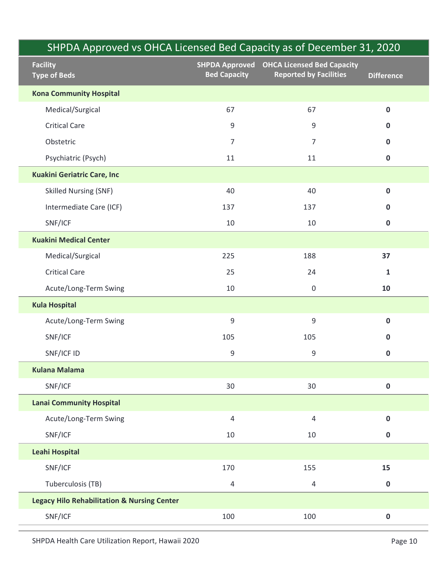|                                                        |                                              |                                                                    | SHPDA Approved vs OHCA Licensed Bed Capacity as of December 31, 2020 |
|--------------------------------------------------------|----------------------------------------------|--------------------------------------------------------------------|----------------------------------------------------------------------|
| <b>Facility</b><br><b>Type of Beds</b>                 | <b>SHPDA Approved</b><br><b>Bed Capacity</b> | <b>OHCA Licensed Bed Capacity</b><br><b>Reported by Facilities</b> | <b>Difference</b>                                                    |
| <b>Kona Community Hospital</b>                         |                                              |                                                                    |                                                                      |
| Medical/Surgical                                       | 67                                           | 67                                                                 | $\pmb{0}$                                                            |
| <b>Critical Care</b>                                   | 9                                            | 9                                                                  | $\mathbf 0$                                                          |
| Obstetric                                              | $\overline{7}$                               | 7                                                                  | $\mathbf 0$                                                          |
| Psychiatric (Psych)                                    | 11                                           | 11                                                                 | $\mathbf 0$                                                          |
| <b>Kuakini Geriatric Care, Inc</b>                     |                                              |                                                                    |                                                                      |
| <b>Skilled Nursing (SNF)</b>                           | 40                                           | 40                                                                 | $\mathbf 0$                                                          |
| Intermediate Care (ICF)                                | 137                                          | 137                                                                | $\mathbf 0$                                                          |
| SNF/ICF                                                | 10                                           | 10                                                                 | $\pmb{0}$                                                            |
| <b>Kuakini Medical Center</b>                          |                                              |                                                                    |                                                                      |
| Medical/Surgical                                       | 225                                          | 188                                                                | 37                                                                   |
| <b>Critical Care</b>                                   | 25                                           | 24                                                                 | $\mathbf 1$                                                          |
| Acute/Long-Term Swing                                  | 10                                           | $\mathsf{0}$                                                       | 10                                                                   |
| <b>Kula Hospital</b>                                   |                                              |                                                                    |                                                                      |
| Acute/Long-Term Swing                                  | $\mathsf 9$                                  | $\mathsf 9$                                                        | $\pmb{0}$                                                            |
| SNF/ICF                                                | 105                                          | 105                                                                | $\pmb{0}$                                                            |
| SNF/ICF ID                                             | 9                                            | $\boldsymbol{9}$                                                   | $\mathbf 0$                                                          |
| <b>Kulana Malama</b>                                   |                                              |                                                                    |                                                                      |
| SNF/ICF                                                | 30                                           | 30                                                                 | $\pmb{0}$                                                            |
| <b>Lanai Community Hospital</b>                        |                                              |                                                                    |                                                                      |
| Acute/Long-Term Swing                                  | $\overline{4}$                               | 4                                                                  | $\mathbf 0$                                                          |
| SNF/ICF                                                | 10                                           | $10\,$                                                             | $\mathbf 0$                                                          |
| Leahi Hospital                                         |                                              |                                                                    |                                                                      |
| SNF/ICF                                                | 170                                          | 155                                                                | 15                                                                   |
| Tuberculosis (TB)                                      | $\overline{4}$                               | $\overline{4}$                                                     | $\pmb{0}$                                                            |
| <b>Legacy Hilo Rehabilitation &amp; Nursing Center</b> |                                              |                                                                    |                                                                      |
| SNF/ICF                                                | 100                                          | 100                                                                | $\pmb{0}$                                                            |

Ī

Ì

Ī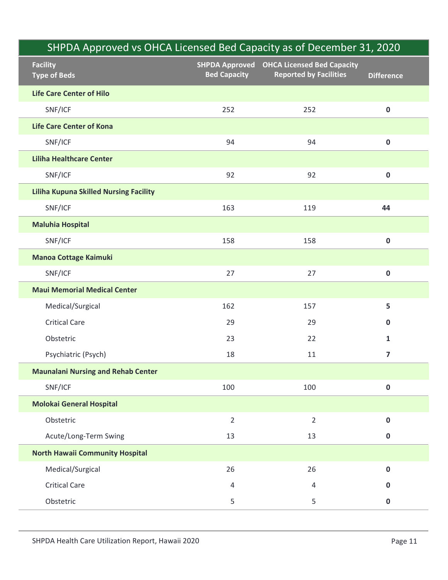## Facility Type of Beds SHPDA Approved OHCA Licensed Bed Capacity Bed Capacity Reported by Facilities Difference SHPDA Approved vs OHCA Licensed Bed Capacity as of December 31, 2020 Life Care Center of Hilo SHPDA Approved vs OHCA Licensed Bed Capacity as of December 31, 2020<br>
Ility SHPDA Approved OHCA Licensed Bed Capacity<br>
Expected by Facilities Difference<br>
Care Center of Hilo<br>
SNF/ICF 252 252 0<br>
Care Center of Kona<br>
SNF/ICF Life Care Center of Kona SHPDA Approved vs OHCA Licensed Bed Capacity as of December 31, 2020<br>
Itiy<br>
sHPDA Approved OHCA Licensed Bed Capacity<br>
Bed Capacity<br>
Bed Capacity<br>
Reported by Facilities<br>
SNF/ICF<br>
SNF/ICF<br>
94 94 0<br> **a Healthcare Center**<br>
S Liliha Healthcare Center SHPDA Approved vs OHCA Licensed Bed Capacity as of December 31, 2020<br>
Itity<br>
ity<br>
of Beds<br>
of Beds<br>
of Beds<br>
Care Center of Hilo<br>
SNF/ICF 252 252 0<br>
Care Center of Kona<br>
SNF/ICF 92 92 0<br>
a Healthcare Center<br>
SNF/ICF 92 92 Liliha Kupuna Skilled Nursing Facility SHPDA Approved vs OHCA Licensed Bed Capacity as of December 31, 2020<br>
Ility SHPDA Approved oHCA Licensed Bed Capacity<br>
SHPDA Approved OHCA Licensed Bed Capacity<br>
Bed Capacity Reported by Facilities Difference<br>
SNF/ICF 252 Maluhia Hospital Experiment of Bed September of Bed Capacity<br>
SHPDA Approved OHCA Licensed Bed Capacity<br>
Bed Capacity Bed Capacity Reported by Facilities<br>
SNF/ICF 252 252 0<br>
Care Center of Kona<br>
SNF/ICF 92 92 0<br>
a Healthcare Center<br>
SNF/IC Manoa Cottage Kaimuki Care Center of Hilo<br>
SNF/ICF 252 252 0<br>
Care Center of Kona<br>
SNF/ICF 252 92<br>
al-Healthcare Center<br>
SNF/ICF 92 92 0<br>
al-Healthcare Center<br>
SNF/ICF 92 92 0<br>
al-Kupuna Skilled Nursing Facility<br>
SNF/ICF 153 119 44<br>
uhia Hospit Maui Memorial Medical Center Care Center of Kona<br>
SNF/ICF 94 94 94 0<br>
SNF/ICF 92 92 0<br>
a Healthcare Center<br>
SNF/ICF 92 92 0<br>
a Kupuna Skilled Nursing Facility<br>
SNF/ICF 163 119 44<br>
uhia Hospital<br>
SNF/ICF 158 158 0<br>
on Cottage Kaimuki<br>
SNF/ICF 158 158 0 SNF/ICF 94<br>
SNE/ICF 94<br>
SNE/ICF 92<br>
SNE/ICF 92<br>
SNE/ICF 92<br>
SNE/ICF 92<br>
SNE/ICF 92<br>
SNE/ICF 92<br>
SNE/ICF 158<br>
Dual Cottage Kaimuki<br>
SNE/ICF 158<br>
158<br>
Dual Cottage Kaimuki<br>
SNE/ICF 27<br>
27<br>
27<br>
Dual Memorial Medical Center<br>
M a Healthcare Center<br>
SNF/ICF 92 92 0<br>
a Kupuna Skilled Nursing Facility<br>
SNF/ICF 163 119 44<br>
SNF/ICF 163 119 44<br>
Unia Hospital<br>
SNF/ICF 158 158 0<br>
on Cottage Kaimuki<br>
SNF/ICF 27 27 0<br>
In Memorial Medical Center<br>
Medical/Su SNF/ICF 92 92 0<br>
SNF/ICF 92 92 0<br>
SNF/ICF 95<br>
SNF/ICF 163 119 44<br>
Unia Hospital<br>
SNF/ICF 158 158 0<br>
Dia Cottage Kaimuki<br>
SNF/ICF 158 158 0<br>
In Memorial Medical Center<br>
Medical/Surgical 162 157 5<br>
Critical Care 29 29 0<br>
Obs Maunalani Nursing and Rehab Center SNF/ICF 160 119 44<br>
SNF/ICF 160 100 2001<br>
SNF/ICF 158 158 0<br>
Non Cottage Kaimuki<br>
SNF/ICF 27 27 0<br>
In Memorial Medical Center<br>
Medical/Surgical 160<br>
Citical Care 29 29 0<br>
Obstetric 23 22 1<br>
Psychiatric (Psych) 18 11 7<br>
SNF Molokai General Hospital SNF/ICF 158 158 0<br>
0<br>
158 158 0<br>
0<br>
16<br>
16<br>
16<br>
16<br>
16<br>
16<br>
16<br>
27 27 27 0<br>
27 27 0<br>
27 27 0<br>
27 27 0<br>
27 27 0<br>
27 2<br>
27 2<br>
27 2<br>
27 2<br>
27 2<br>
27 2<br>
29 0<br>
29 29 0<br>
21 1<br>
Psychiatric (Psych) 18 11 7<br>
Psychiatric (Psych) 18 1 ona Cottage Kaimuki<br>
SNF/ICF 27 27 27 0<br>
11 Memorial Medical Center<br>
Medical/Surgical<br>
Critical Care 29 29 0<br>
Obstetric 23 22 1<br>
Psychiatric (Psych) 18 11 7<br>
Systiatric (Psych) 18 11 7<br>
Systiatric (Psych) 18 11 7<br>
Systiatr North Hawaii Community Hospital 1 **Memorial Medical Center**<br>
Medical/Surgical 26 157 5<br>
Critical Care 29 29 0<br>
Obstetric (Psych) 18 11 7<br>
Psychiatric (Psych) 18 11 7<br>
Manalani Nursing and Rehab Center<br>
SNF/ICF 100 100 0<br>
Okai General Hospital<br>
Obstetric Medical/Surgical<br>
Critical Care 29 29 0<br>
Obstetric (Psych) 18 11 7<br>
Psychiatric (Psych) 18 11 7<br>
Malani Nursing and Rehab Center<br>
SNF/ICF 100 100 0<br>
Oksi General Hospital<br>
Obstetric 2 2 0<br>
Actue/Long-Term Swing 13 13 0<br>
Ac Critical Care<br>
Psychiatric (Psych)<br>
23 22 1<br>
Psychiatric (Psych)<br>
23 22 1<br>
18 11 7<br>
IS 11 7<br>
IS 12 2<br>
Obstetric 100 100<br>
Obstetric 2 2 0<br>
Actue/Long-Term Swing<br>
13 13 0<br>
Actue/Long-Term Swing<br>
26<br>
Critical Care 4 4 0<br>
Obst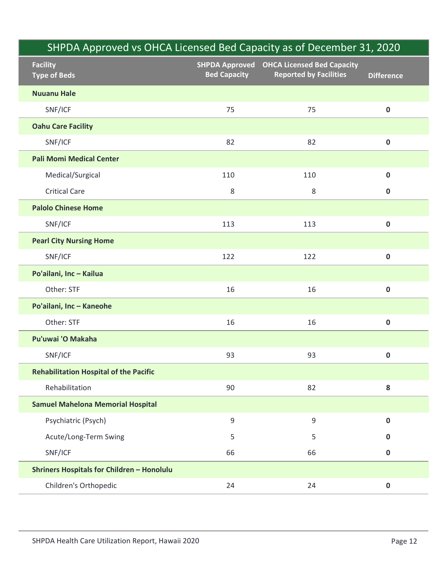|                                                   |                     | SHPDA Approved vs OHCA Licensed Bed Capacity as of December 31, 2020              |                   |
|---------------------------------------------------|---------------------|-----------------------------------------------------------------------------------|-------------------|
| <b>Facility</b><br><b>Type of Beds</b>            | <b>Bed Capacity</b> | <b>SHPDA Approved OHCA Licensed Bed Capacity</b><br><b>Reported by Facilities</b> | <b>Difference</b> |
| <b>Nuuanu Hale</b>                                |                     |                                                                                   |                   |
| SNF/ICF                                           | 75                  | 75                                                                                | $\mathbf 0$       |
| <b>Oahu Care Facility</b>                         |                     |                                                                                   |                   |
| SNF/ICF                                           | 82                  | 82                                                                                | $\pmb{0}$         |
| <b>Pali Momi Medical Center</b>                   |                     |                                                                                   |                   |
| Medical/Surgical                                  | 110                 | 110                                                                               | $\mathbf 0$       |
| <b>Critical Care</b>                              | 8                   | 8                                                                                 | $\mathbf 0$       |
| <b>Palolo Chinese Home</b>                        |                     |                                                                                   |                   |
| SNF/ICF                                           | 113                 | 113                                                                               | $\mathbf 0$       |
| <b>Pearl City Nursing Home</b>                    |                     |                                                                                   |                   |
| SNF/ICF                                           | 122                 | 122                                                                               | 0                 |
| Po'ailani, Inc - Kailua                           |                     |                                                                                   |                   |
| Other: STF                                        | 16                  | 16                                                                                | $\mathbf 0$       |
| Po'ailani, Inc - Kaneohe                          |                     |                                                                                   |                   |
| Other: STF                                        | 16                  | 16                                                                                | $\mathbf 0$       |
| Pu'uwai 'O Makaha                                 |                     |                                                                                   |                   |
| SNF/ICF                                           | 93                  | 93                                                                                | $\mathbf 0$       |
| <b>Rehabilitation Hospital of the Pacific</b>     |                     |                                                                                   |                   |
| Rehabilitation                                    | 90                  | 82                                                                                | 8                 |
| <b>Samuel Mahelona Memorial Hospital</b>          |                     |                                                                                   |                   |
| Psychiatric (Psych)                               | 9                   | 9                                                                                 | $\mathbf 0$       |
| Acute/Long-Term Swing                             | 5                   | 5                                                                                 | 0                 |
| SNF/ICF                                           | 66                  | 66                                                                                | $\mathbf 0$       |
| <b>Shriners Hospitals for Children - Honolulu</b> |                     |                                                                                   |                   |
| Children's Orthopedic                             | 24                  | 24                                                                                | $\mathbf 0$       |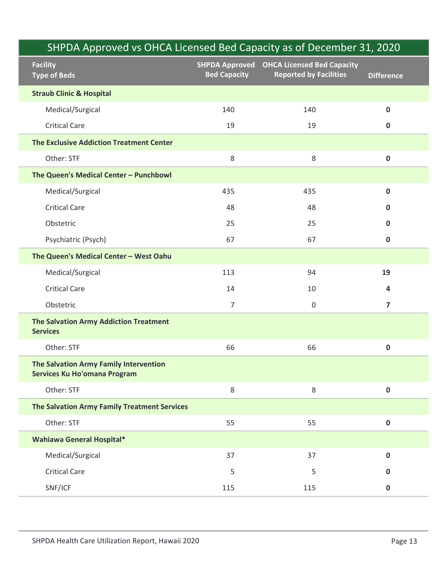|                                                                               |                                              | SHPDA Approved vs OHCA Licensed Bed Capacity as of December 31, 2020 |                         |
|-------------------------------------------------------------------------------|----------------------------------------------|----------------------------------------------------------------------|-------------------------|
| <b>Facility</b><br><b>Type of Beds</b>                                        | <b>SHPDA Approved</b><br><b>Bed Capacity</b> | <b>OHCA Licensed Bed Capacity</b><br><b>Reported by Facilities</b>   | <b>Difference</b>       |
| <b>Straub Clinic &amp; Hospital</b>                                           |                                              |                                                                      |                         |
| Medical/Surgical                                                              | 140                                          | 140                                                                  | $\mathbf 0$             |
| <b>Critical Care</b>                                                          | 19                                           | 19                                                                   | $\mathbf 0$             |
| <b>The Exclusive Addiction Treatment Center</b>                               |                                              |                                                                      |                         |
| Other: STF                                                                    | $\,8\,$                                      | $\,8\,$                                                              | $\mathbf 0$             |
| The Queen's Medical Center - Punchbowl                                        |                                              |                                                                      |                         |
| Medical/Surgical                                                              | 435                                          | 435                                                                  | $\mathbf 0$             |
| <b>Critical Care</b>                                                          | 48                                           | 48                                                                   | $\mathbf 0$             |
| Obstetric                                                                     | 25                                           | 25                                                                   | 0                       |
| Psychiatric (Psych)                                                           | 67                                           | 67                                                                   | $\mathbf 0$             |
| The Queen's Medical Center - West Oahu                                        |                                              |                                                                      |                         |
| Medical/Surgical                                                              | 113                                          | 94                                                                   | 19                      |
| <b>Critical Care</b>                                                          | 14                                           | 10                                                                   | 4                       |
| Obstetric                                                                     | $\overline{7}$                               | $\mathbf 0$                                                          | $\overline{\mathbf{z}}$ |
| The Salvation Army Addiction Treatment<br><b>Services</b>                     |                                              |                                                                      |                         |
| Other: STF                                                                    | 66                                           | 66                                                                   | $\pmb{0}$               |
| The Salvation Army Family Intervention<br><b>Services Ku Ho'omana Program</b> |                                              |                                                                      |                         |
| Other: STF                                                                    | 8                                            | $\,8\,$                                                              | $\mathbf 0$             |
| The Salvation Army Family Treatment Services                                  |                                              |                                                                      |                         |
| Other: STF                                                                    | 55                                           | 55                                                                   | $\pmb{0}$               |
| <b>Wahiawa General Hospital*</b>                                              |                                              |                                                                      |                         |
| Medical/Surgical                                                              | 37                                           | 37                                                                   | $\mathbf 0$             |
| <b>Critical Care</b>                                                          | 5                                            | 5                                                                    | $\mathbf 0$             |
| SNF/ICF                                                                       | 115                                          | 115                                                                  | $\mathbf 0$             |